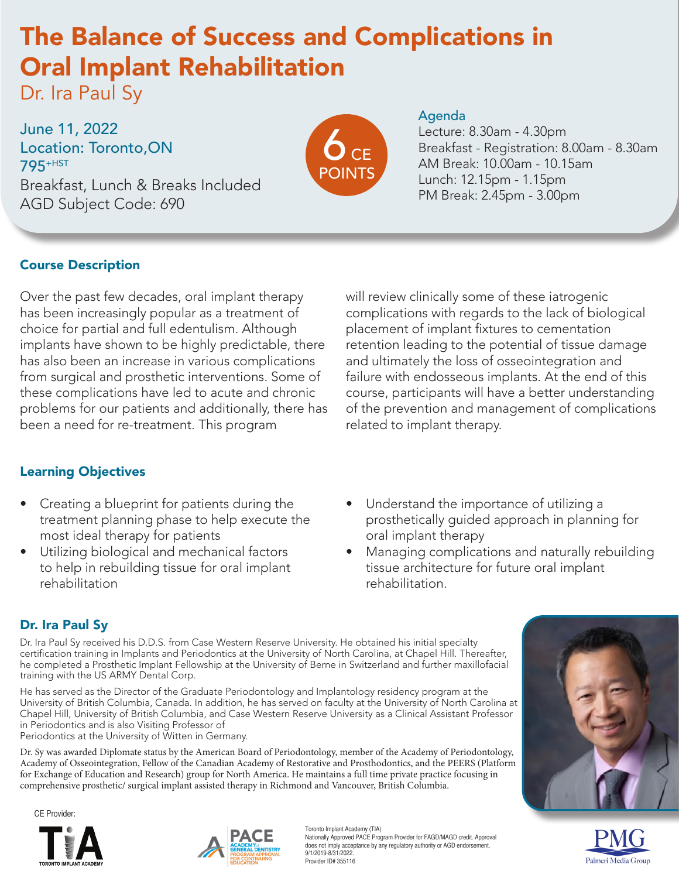# The Balance of Success and Complications in Oral Implant Rehabilitation

Dr. Ira Paul Sy

June 11, 2022 Location: Toronto,ON 795+HST Breakfast, Lunch & Breaks Included AGD Subject Code: 690



#### Agenda

Lecture: 8.30am - 4.30pm Breakfast - Registration: 8.00am - 8.30am AM Break: 10.00am - 10.15am Lunch: 12.15pm - 1.15pm PM Break: 2.45pm - 3.00pm

### Course Description

Over the past few decades, oral implant therapy has been increasingly popular as a treatment of choice for partial and full edentulism. Although implants have shown to be highly predictable, there has also been an increase in various complications from surgical and prosthetic interventions. Some of these complications have led to acute and chronic problems for our patients and additionally, there has been a need for re-treatment. This program

### Learning Objectives

- Creating a blueprint for patients during the treatment planning phase to help execute the most ideal therapy for patients
- Utilizing biological and mechanical factors to help in rebuilding tissue for oral implant rehabilitation

will review clinically some of these iatrogenic complications with regards to the lack of biological placement of implant fixtures to cementation retention leading to the potential of tissue damage and ultimately the loss of osseointegration and failure with endosseous implants. At the end of this course, participants will have a better understanding of the prevention and management of complications related to implant therapy.

- Understand the importance of utilizing a prosthetically guided approach in planning for oral implant therapy
- Managing complications and naturally rebuilding tissue architecture for future oral implant rehabilitation.

## Dr. Ira Paul Sy

Dr. Ira Paul Sy received his D.D.S. from Case Western Reserve University. He obtained his initial specialty certification training in Implants and Periodontics at the University of North Carolina, at Chapel Hill. Thereafter, he completed a Prosthetic Implant Fellowship at the University of Berne in Switzerland and further maxillofacial training with the US ARMY Dental Corp.

He has served as the Director of the Graduate Periodontology and Implantology residency program at the University of British Columbia, Canada. In addition, he has served on faculty at the University of North Carolina at Chapel Hill, University of British Columbia, and Case Western Reserve University as a Clinical Assistant Professor in Periodontics and is also Visiting Professor of

Periodontics at the University of Witten in Germany.

Dr. Sy was awarded Diplomate status by the American Board of Periodontology, member of the Academy of Periodontology, Academy of Osseointegration, Fellow of the Canadian Academy of Restorative and Prosthodontics, and the PEERS (Platform for Exchange of Education and Research) group for North America. He maintains a full time private practice focusing in comprehensive prosthetic/ surgical implant assisted therapy in Richmond and Vancouver, British Columbia.

CE Provider:





Toronto Implant Academy (TIA) Nationally Approved PACE Program Provider for FAGD/MAGD credit. Approval does not imply acceptance by any regulatory authority or AGD endorsement. 9/1/2019-8/31/2022. Provider ID# 355116